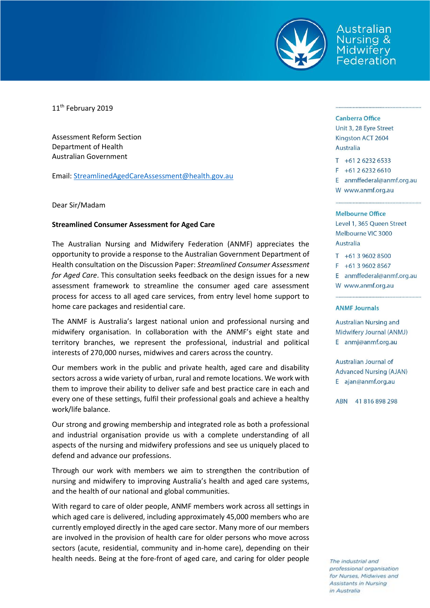

Australian Jursina & Midwifery Federation

11<sup>th</sup> February 2019

Assessment Reform Section Department of Health Australian Government

Email: [StreamlinedAgedCareAssessment@health.gov.au](mailto:StreamlinedAgedCareAssessment@health.gov.au)

## Dear Sir/Madam

## **Streamlined Consumer Assessment for Aged Care**

The Australian Nursing and Midwifery Federation (ANMF) appreciates the opportunity to provide a response to the Australian Government Department of Health consultation on the Discussion Paper: *Streamlined Consumer Assessment for Aged Care*. This consultation seeks feedback on the design issues for a new assessment framework to streamline the consumer aged care assessment process for access to all aged care services, from entry level home support to home care packages and residential care.

The ANMF is Australia's largest national union and professional nursing and midwifery organisation. In collaboration with the ANMF's eight state and territory branches, we represent the professional, industrial and political interests of 270,000 nurses, midwives and carers across the country.

Our members work in the public and private health, aged care and disability sectors across a wide variety of urban, rural and remote locations. We work with them to improve their ability to deliver safe and best practice care in each and every one of these settings, fulfil their professional goals and achieve a healthy work/life balance.

Our strong and growing membership and integrated role as both a professional and industrial organisation provide us with a complete understanding of all aspects of the nursing and midwifery professions and see us uniquely placed to defend and advance our professions.

Through our work with members we aim to strengthen the contribution of nursing and midwifery to improving Australia's health and aged care systems, and the health of our national and global communities.

With regard to care of older people, ANMF members work across all settings in which aged care is delivered, including approximately 45,000 members who are currently employed directly in the aged care sector. Many more of our members are involved in the provision of health care for older persons who move across sectors (acute, residential, community and in-home care), depending on their health needs. Being at the fore-front of aged care, and caring for older people

### **Canberra Office**

Unit 3, 28 Eyre Street Kingston ACT 2604 **Australia** 

 $T + 61262326533$ 

 $F + 61262326610$ 

E anmffederal@anmf.org.au W www.anmf.org.au

#### Melbourne Office

Level 1, 365 Queen Street Melbourne VIC 3000 Australia

 $T + 61396028500$ 

 $F + 61396028567$ 

E anmffederal@anmf.org.au

W www.anmf.org.au

## **ANMF Journals**

**Australian Nursing and** Midwifery Journal (ANMJ) E anmj@anmf.org.au

Australian Journal of **Advanced Nursing (AJAN)** E ajan@anmf.org.au

ABN 41816898298

The industrial and professional organisation for Nurses, Midwives and Assistants in Nursing in Australia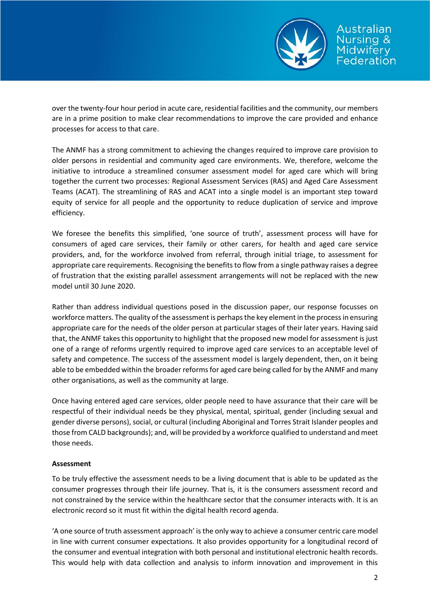

over the twenty-four hour period in acute care, residential facilities and the community, our members are in a prime position to make clear recommendations to improve the care provided and enhance processes for access to that care.

The ANMF has a strong commitment to achieving the changes required to improve care provision to older persons in residential and community aged care environments. We, therefore, welcome the initiative to introduce a streamlined consumer assessment model for aged care which will bring together the current two processes: Regional Assessment Services (RAS) and Aged Care Assessment Teams (ACAT). The streamlining of RAS and ACAT into a single model is an important step toward equity of service for all people and the opportunity to reduce duplication of service and improve efficiency.

We foresee the benefits this simplified, 'one source of truth', assessment process will have for consumers of aged care services, their family or other carers, for health and aged care service providers, and, for the workforce involved from referral, through initial triage, to assessment for appropriate care requirements. Recognising the benefitsto flow from a single pathway raises a degree of frustration that the existing parallel assessment arrangements will not be replaced with the new model until 30 June 2020.

Rather than address individual questions posed in the discussion paper, our response focusses on workforce matters. The quality of the assessment is perhaps the key element in the process in ensuring appropriate care for the needs of the older person at particular stages of their later years. Having said that, the ANMF takes this opportunity to highlight that the proposed new model for assessment is just one of a range of reforms urgently required to improve aged care services to an acceptable level of safety and competence. The success of the assessment model is largely dependent, then, on it being able to be embedded within the broader reforms for aged care being called for by the ANMF and many other organisations, as well as the community at large.

Once having entered aged care services, older people need to have assurance that their care will be respectful of their individual needs be they physical, mental, spiritual, gender (including sexual and gender diverse persons), social, or cultural (including Aboriginal and Torres Strait Islander peoples and those from CALD backgrounds); and, will be provided by a workforce qualified to understand and meet those needs.

# **Assessment**

To be truly effective the assessment needs to be a living document that is able to be updated as the consumer progresses through their life journey. That is, it is the consumers assessment record and not constrained by the service within the healthcare sector that the consumer interacts with. It is an electronic record so it must fit within the digital health record agenda.

'A one source of truth assessment approach' is the only way to achieve a consumer centric care model in line with current consumer expectations. It also provides opportunity for a longitudinal record of the consumer and eventual integration with both personal and institutional electronic health records. This would help with data collection and analysis to inform innovation and improvement in this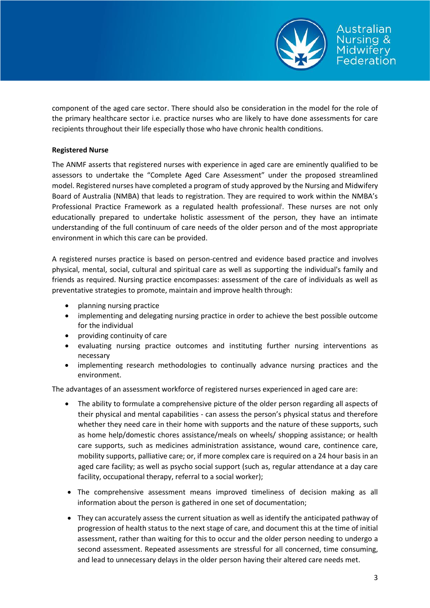

component of the aged care sector. There should also be consideration in the model for the role of the primary healthcare sector i.e. practice nurses who are likely to have done assessments for care recipients throughout their life especially those who have chronic health conditions.

## **Registered Nurse**

The ANMF asserts that registered nurses with experience in aged care are eminently qualified to be assessors to undertake the "Complete Aged Care Assessment" under the proposed streamlined model. Registered nurses have completed a program of study approved by the Nursing and Midwifery Board of Australia (NMBA) that leads to registration. They are required to work within the NMBA's Professional Practice Framework as a regulated health professional<sup>i</sup>. These nurses are not only educationally prepared to undertake holistic assessment of the person, they have an intimate understanding of the full continuum of care needs of the older person and of the most appropriate environment in which this care can be provided.

A registered nurses practice is based on person-centred and evidence based practice and involves physical, mental, social, cultural and spiritual care as well as supporting the individual's family and friends as required. Nursing practice encompasses: assessment of the care of individuals as well as preventative strategies to promote, maintain and improve health through:

- planning nursing practice
- implementing and delegating nursing practice in order to achieve the best possible outcome for the individual
- providing continuity of care
- evaluating nursing practice outcomes and instituting further nursing interventions as necessary
- implementing research methodologies to continually advance nursing practices and the environment.

The advantages of an assessment workforce of registered nurses experienced in aged care are:

- The ability to formulate a comprehensive picture of the older person regarding all aspects of their physical and mental capabilities - can assess the person's physical status and therefore whether they need care in their home with supports and the nature of these supports, such as home help/domestic chores assistance/meals on wheels/ shopping assistance; or health care supports, such as medicines administration assistance, wound care, continence care, mobility supports, palliative care; or, if more complex care is required on a 24 hour basis in an aged care facility; as well as psycho social support (such as, regular attendance at a day care facility, occupational therapy, referral to a social worker);
- The comprehensive assessment means improved timeliness of decision making as all information about the person is gathered in one set of documentation;
- They can accurately assess the current situation as well as identify the anticipated pathway of progression of health status to the next stage of care, and document this at the time of initial assessment, rather than waiting for this to occur and the older person needing to undergo a second assessment. Repeated assessments are stressful for all concerned, time consuming, and lead to unnecessary delays in the older person having their altered care needs met.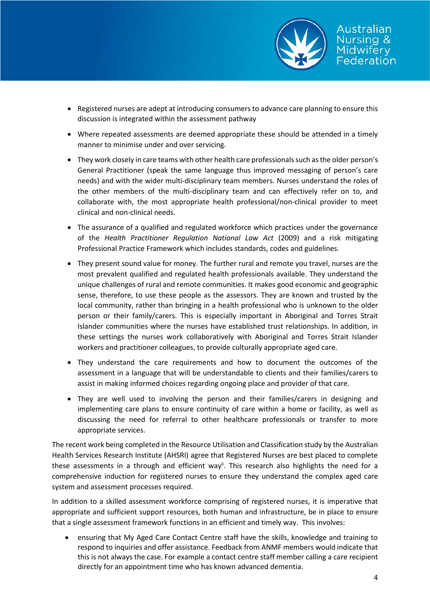

- Registered nurses are adept at introducing consumers to advance care planning to ensure this discussion is integrated within the assessment pathway
- Where repeated assessments are deemed appropriate these should be attended in a timely manner to minimise under and over servicing.
- They work closely in care teams with other health care professionals such as the older person's General Practitioner (speak the same language thus improved messaging of person's care needs) and with the wider multi-disciplinary team members. Nurses understand the roles of the other members of the multi-disciplinary team and can effectively refer on to, and collaborate with, the most appropriate health professional/non-clinical provider to meet clinical and non-clinical needs.
- The assurance of a qualified and regulated workforce which practices under the governance of the *Health Practitioner Regulation National Law Act* (2009) and a risk mitigating Professional Practice Framework which includes standards, codes and guidelines.
- They present sound value for money. The further rural and remote you travel, nurses are the most prevalent qualified and regulated health professionals available. They understand the unique challenges of rural and remote communities. It makes good economic and geographic sense, therefore, to use these people as the assessors. They are known and trusted by the local community, rather than bringing in a health professional who is unknown to the older person or their family/carers. This is especially important in Aboriginal and Torres Strait Islander communities where the nurses have established trust relationships. In addition, in these settings the nurses work collaboratively with Aboriginal and Torres Strait Islander workers and practitioner colleagues, to provide culturally appropriate aged care.
- They understand the care requirements and how to document the outcomes of the assessment in a language that will be understandable to clients and their families/carers to assist in making informed choices regarding ongoing place and provider of that care.
- They are well used to involving the person and their families/carers in designing and implementing care plans to ensure continuity of care within a home or facility, as well as discussing the need for referral to other healthcare professionals or transfer to more appropriate services.

The recent work being completed in the Resource Utilisation and Classification study by the Australian Health Services Research Institute (AHSRI) agree that Registered Nurses are best placed to complete these assessments in a through and efficient way<sup>it</sup>. This research also highlights the need for a comprehensive induction for registered nurses to ensure they understand the complex aged care system and assessment processes required.

In addition to a skilled assessment workforce comprising of registered nurses, it is imperative that appropriate and sufficient support resources, both human and infrastructure, be in place to ensure that a single assessment framework functions in an efficient and timely way. This involves:

 ensuring that My Aged Care Contact Centre staff have the skills, knowledge and training to respond to inquiries and offer assistance. Feedback from ANMF members would indicate that this is not always the case. For example a contact centre staff member calling a care recipient directly for an appointment time who has known advanced dementia.